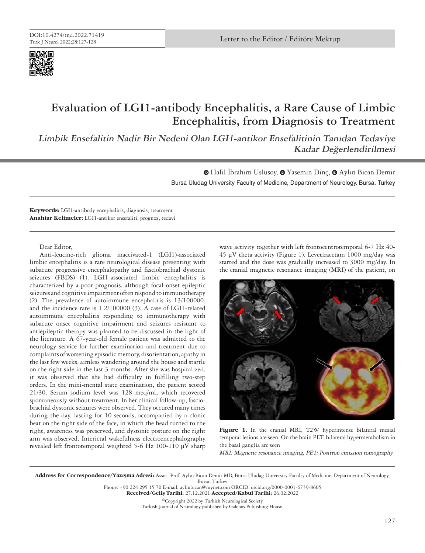

## **Evaluation of LGI1-antibody Encephalitis, a Rare Cause of Limbic Encephalitis, from Diagnosis to Treatment**

**Limbik Ensefalitin Nadir Bir Nedeni Olan LGI1-antikor Ensefalitinin Tanıdan Tedaviye Kadar Değerlendirilmesi**

> Bursa Uludag University Faculty of Medicine, Department of Neurology, Bursa, Turkey **■ [H](https://orcid.org/0000-0001-6466-3397)alilİbrahim Uslusoy, ■ Yasemin Dinç, ■ Aylin Bican Demir**

**Keywords:** LGI1-antibody encephalitis, diagnosis, treatment **Anahtar Kelimeler:** LGI1-antikor ensefaliti, prognoz, tedavi

Dear Editor,

Anti-leucine-rich glioma inactivated-1 (LGI1)-associated limbic encephalitis is a rare neurological disease presenting with subacute progressive encephalopathy and fasciobrachial dystonic seizures (FBDS) (1). LGI1-associated limbic encephalitis is characterized by a poor prognosis, although focal-onset epileptic seizures and cognitive impairment often respond to immunotherapy (2). The prevalence of autoimmune encephalitis is 13/100000, and the incidence rate is 1.2/100000 (3). A case of LGI1-related autoimmune encephalitis responding to immunotherapy with subacute onset cognitive impairment and seizures resistant to antiepileptic therapy was planned to be discussed in the light of the literature. A 67-year-old female patient was admitted to the neurology service for further examination and treatment due to complaints of worsening episodic memory, disorientation, apathy in the last few weeks, aimless wandering around the house and startle on the right side in the last 3 months. After she was hospitalized, it was observed that she had difficulty in fulfilling two-step orders. In the mini-mental state examination, the patient scored 21/30. Serum sodium level was 128 meq/ml, which recovered spontaneously without treatment. In her clinical follow-up, fasciobrachial dystonic seizures were observed. They occured many times during the day, lasting for 10 seconds, accompanied by a clonic beat on the right side of the face, in which the head turned to the right, awareness was preserved, and dystonic posture on the right arm was observed. Interictal wakefulness electroencephalography revealed left frontotemporal weighted 5-6 Hz 100-110 µV sharp

wave activity together with left frontocentrotemporal 6-7 Hz 40- 45 µV theta activity (Figure 1). Levetiracetam 1000 mg/day was started and the dose was gradually increased to 3000 mg/day. In the cranial magnetic resonance imaging (MRI) of the patient, on



Figure 1. In the cranial MRI, T2W hyperintense bilateral mesial temporal lesions are seen. On the brain PET, bilateral hypermetabolism in the basal ganglia are seen

MRI: Magnetic resonance imaging, PET: Positron emission tomography

Address for Correspondence/Yazışma Adresi: Assoc. Prof. Aylin Bican Demir MD, Bursa Uludag University Faculty of Medicine, Department of Neurology, Bursa, Turkey

Phone: +90 224 295 15 70 E-mail: aylinbican@mynet.com ORCID: orcid.org/0000-0001-6739-8605 Received/Geliş Tarihi: 27.12.2021 Accepted/Kabul Tarihi: 26.02.2022

©Copyright 2022 by Turkish Neurological Society Turkish Journal of Neurology published by Galenos Publishing House.